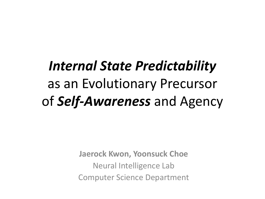#### *Internal State Predictability*  as an Evolutionary Precursor of *Self-Awareness* and Agency

**Jaerock Kwon, Yoonsuck Choe** Neural Intelligence Lab Computer Science Department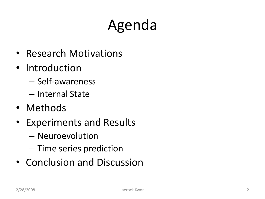#### Agenda

- Research Motivations
- Introduction
	- Self-awareness
	- Internal State
- Methods
- Experiments and Results
	- Neuroevolution
	- Time series prediction
- Conclusion and Discussion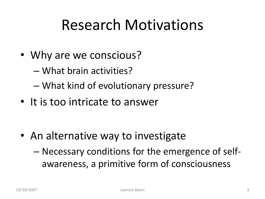#### Research Motivations

- Why are we conscious?
	- What brain activities?
	- What kind of evolutionary pressure?
- It is too intricate to answer

- An alternative way to investigate
	- Necessary conditions for the emergence of selfawareness, a primitive form of consciousness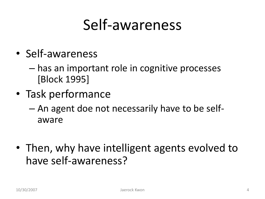#### Self-awareness

- Self-awareness
	- has an important role in cognitive processes [Block 1995]
- Task performance
	- An agent doe not necessarily have to be selfaware
- Then, why have intelligent agents evolved to have self-awareness?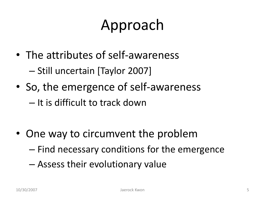#### Approach

- The attributes of self-awareness – Still uncertain [Taylor 2007]
- So, the emergence of self-awareness

– It is difficult to track down

• One way to circumvent the problem

– Find necessary conditions for the emergence

– Assess their evolutionary value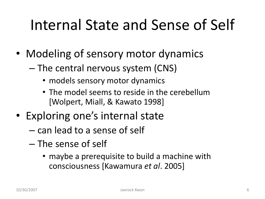#### Internal State and Sense of Self

- Modeling of sensory motor dynamics
	- The central nervous system (CNS)
		- models sensory motor dynamics
		- The model seems to reside in the cerebellum [Wolpert, Miall, & Kawato 1998]
- Exploring one's internal state
	- can lead to a sense of self
	- The sense of self
		- maybe a prerequisite to build a machine with consciousness [Kawamura *et al*. 2005]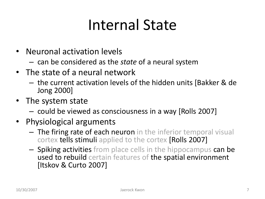#### Internal State

- Neuronal activation levels
	- can be considered as the *state* of a neural system
- The state of a neural network
	- the current activation levels of the hidden units [Bakker & de Jong 2000]
- The system state
	- could be viewed as consciousness in a way [Rolls 2007]
- Physiological arguments
	- The firing rate of each neuron in the inferior temporal visual cortex tells stimuli applied to the cortex [Rolls 2007]
	- Spiking activities from place cells in the hippocampus can be used to rebuild certain features of the spatial environment [Itskov & Curto 2007]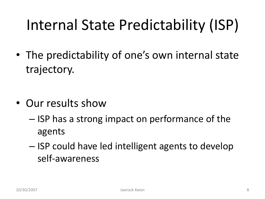#### Internal State Predictability (ISP)

• The predictability of one's own internal state trajectory.

- Our results show
	- ISP has a strong impact on performance of the agents
	- ISP could have led intelligent agents to develop self-awareness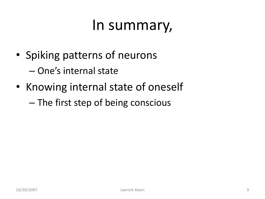#### In summary,

- Spiking patterns of neurons – One's internal state
- Knowing internal state of oneself
	- The first step of being conscious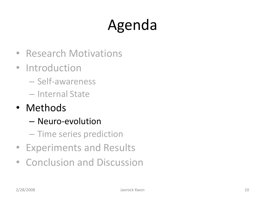## Agenda

- Research Motivations
- Introduction
	- Self-awareness
	- Internal State
- Methods
	- Neuro-evolution
	- Time series prediction
- Experiments and Results
- Conclusion and Discussion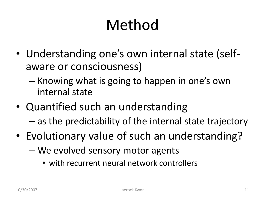#### Method

- Understanding one's own internal state (selfaware or consciousness)
	- Knowing what is going to happen in one's own internal state
- Quantified such an understanding – as the predictability of the internal state trajectory
- Evolutionary value of such an understanding?
	- We evolved sensory motor agents
		- with recurrent neural network controllers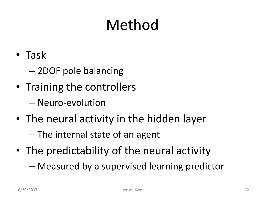#### Method

- Task
	- 2DOF pole balancing
- Training the controllers
	- Neuro-evolution
- The neural activity in the hidden layer
	- The internal state of an agent
- The predictability of the neural activity
	- Measured by a supervised learning predictor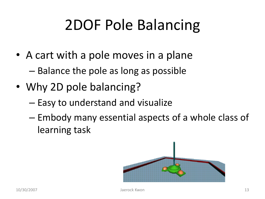#### 2DOF Pole Balancing

- A cart with a pole moves in a plane – Balance the pole as long as possible
- Why 2D pole balancing?
	- Easy to understand and visualize
	- Embody many essential aspects of a whole class of learning task

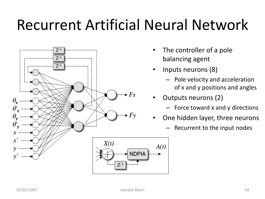#### Recurrent Artificial Neural Network



- The controller of a pole balancing agent
- Inputs neurons (8)
	- Pole velocity and acceleration of x and y positions and angles
- Outputs neurons (2)

 $A(t)$ 

- Force toward x and y directions
- One hidden layer, three neurons
	- Recurrent to the input nodes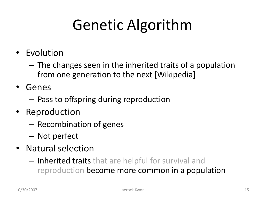#### Genetic Algorithm

- Evolution
	- The changes seen in the inherited traits of a population from one generation to the next [Wikipedia]
- Genes
	- Pass to offspring during reproduction
- Reproduction
	- Recombination of genes
	- Not perfect
- Natural selection
	- Inherited traits that are helpful for survival and reproduction become more common in a population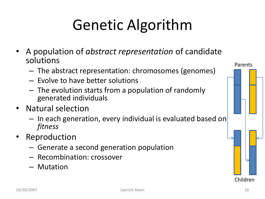#### Genetic Algorithm

- A population of *abstract representation* of candidate solutions
	- The abstract representation: chromosomes (genomes)
	- Evolve to have better solutions
	- The evolution starts from a population of randomly generated individuals
- Natural selection
	- In each generation, every individual is evaluated based on *fitness*
- Reproduction
	- Generate a second generation population
	- Recombination: crossover
	- Mutation

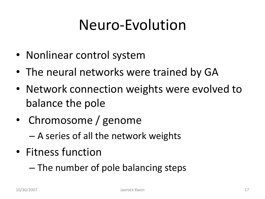#### Neuro-Evolution

- Nonlinear control system
- The neural networks were trained by GA
- Network connection weights were evolved to balance the pole
- Chromosome / genome
	- A series of all the network weights
- Fitness function
	- The number of pole balancing steps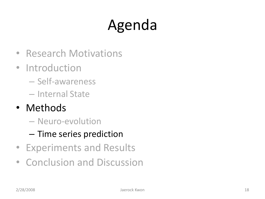## Agenda

- Research Motivations
- Introduction
	- Self-awareness
	- Internal State
- Methods
	- Neuro-evolution
	- Time series prediction
- Experiments and Results
- Conclusion and Discussion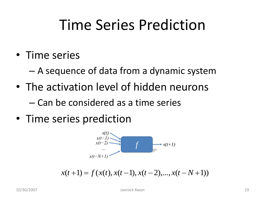#### Time Series Prediction

• Time series

– A sequence of data from a dynamic system

• The activation level of hidden neurons

– Can be considered as a time series

• Time series prediction



 $x(t+1) = f(x(t), x(t-1), x(t-2),..., x(t-N+1))$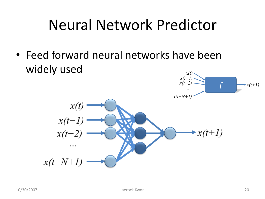#### Neural Network Predictor

• Feed forward neural networks have been widely used *x(t)*

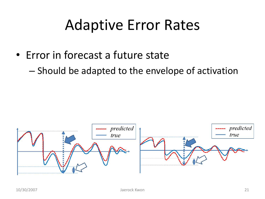#### Adaptive Error Rates

- Error in forecast a future state
	- Should be adapted to the envelope of activation

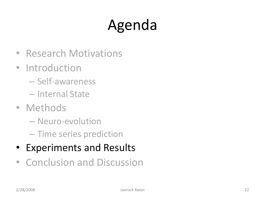## Agenda

- Research Motivations
- Introduction
	- Self-awareness
	- Internal State
- Methods
	- Neuro-evolution
	- Time series prediction
- Experiments and Results
- Conclusion and Discussion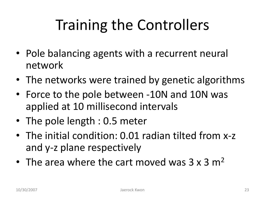#### Training the Controllers

- Pole balancing agents with a recurrent neural network
- The networks were trained by genetic algorithms
- Force to the pole between -10N and 10N was applied at 10 millisecond intervals
- The pole length : 0.5 meter
- The initial condition: 0.01 radian tilted from x-z and y-z plane respectively
- The area where the cart moved was  $3 \times 3$  m<sup>2</sup>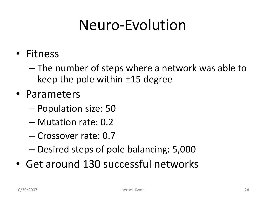#### Neuro-Evolution

- Fitness
	- The number of steps where a network was able to keep the pole within ±15 degree
- Parameters
	- Population size: 50
	- Mutation rate: 0.2
	- Crossover rate: 0.7
	- Desired steps of pole balancing: 5,000
- Get around 130 successful networks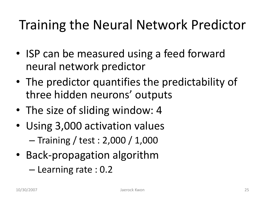#### Training the Neural Network Predictor

- ISP can be measured using a feed forward neural network predictor
- The predictor quantifies the predictability of three hidden neurons' outputs
- The size of sliding window: 4
- Using 3,000 activation values – Training / test : 2,000 / 1,000
- Back-propagation algorithm
	- Learning rate : 0.2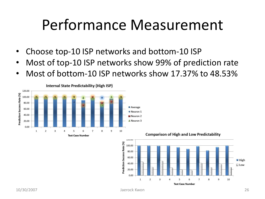#### Performance Measurement

- Choose top-10 ISP networks and bottom-10 ISP
- Most of top-10 ISP networks show 99% of prediction rate
- Most of bottom-10 ISP networks show 17.37% to 48.53%

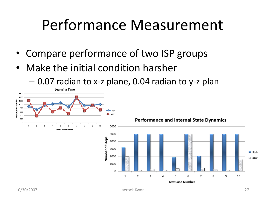#### Performance Measurement

- Compare performance of two ISP groups
- Make the initial condition harsher
	- 0.07 radian to x-z plane, 0.04 radian to y-z plan

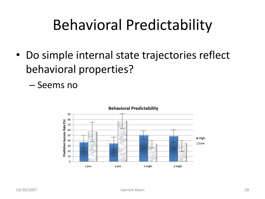#### Behavioral Predictability

- Do simple internal state trajectories reflect behavioral properties?
	- Seems no

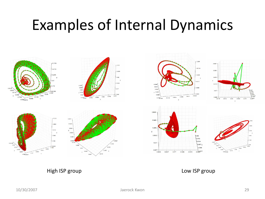#### Examples of Internal Dynamics



#### High ISP group **Low ISP group**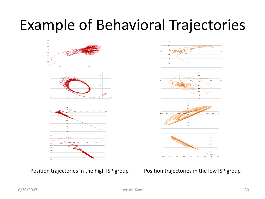#### Example of Behavioral Trajectories



Position trajectories in the high ISP group Position trajectories in the low ISP group

# $02$  $0.15$